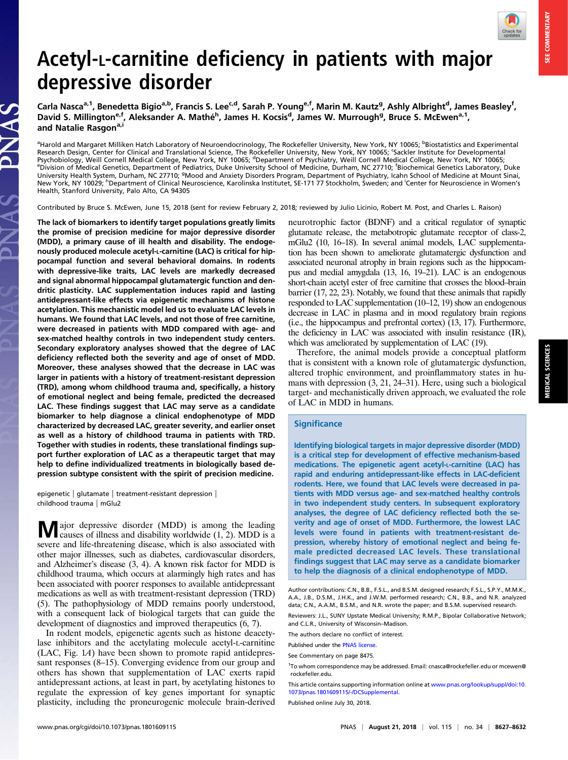# Acetyl-L-carnitine deficiency in patients with major depressive disorder

Carla Nasca<sup>a,1</sup>, Benedetta Bigio<sup>a,b</sup>, Francis S. Lee<sup>c,d</sup>, Sarah P. Young<sup>e,f</sup>, Marin M. Kautz<sup>g</sup>, Ashly Albright<sup>d</sup>, James Beasley<sup>f</sup>, David S. Millington<sup>e,f</sup>, Aleksander A. Mathé<sup>h</sup>, James H. Kocsis<sup>d</sup>, James W. Murrough<sup>g</sup>, Bruce S. McEwen<sup>a, 1</sup>, and Natalie Rasgon<sup>a,i</sup>

<sup>a</sup>Harold and Margaret Milliken Hatch Laboratory of Neuroendocrinology, The Rockefeller University, New York, NY 10065; <sup>b</sup>Biostatistics and Experimental Research Design, Center for Clinical and Translational Science, The Rockefeller University, New York, NY 10065; 'Sackler Institute for Developmental<br>Psychobiology, Weill Cornell Medical College, New York, NY 10065; <sup>d</sup>Depa Psychobiology, Weill Cornell Medical College, New York, NY 10065; <sup>a</sup>Department of Psychiatry, Weill Cornell Medical College, New York, NY 10065;<br><sup>e</sup>Division of Medical Genetics, Department of Pediatrics, Duke University S New York, NY 10029; <sup>h</sup>Department of Clinical Neuroscience, Karolinska Institutet, SE-171 77 Stockholm, Sweden; and <sup>i</sup>Center for Neuroscience in Women's Health, Stanford University, Palo Alto, CA 94305

Contributed by Bruce S. McEwen, June 15, 2018 (sent for review February 2, 2018; reviewed by Julio Licinio, Robert M. Post, and Charles L. Raison)

The lack of biomarkers to identify target populations greatly limits the promise of precision medicine for major depressive disorder (MDD), a primary cause of ill health and disability. The endogenously produced molecule acetyl-L-carnitine (LAC) is critical for hippocampal function and several behavioral domains. In rodents with depressive-like traits, LAC levels are markedly decreased and signal abnormal hippocampal glutamatergic function and dendritic plasticity. LAC supplementation induces rapid and lasting antidepressant-like effects via epigenetic mechanisms of histone acetylation. This mechanistic model led us to evaluate LAC levels in humans. We found that LAC levels, and not those of free carnitine, were decreased in patients with MDD compared with age- and sex-matched healthy controls in two independent study centers. Secondary exploratory analyses showed that the degree of LAC deficiency reflected both the severity and age of onset of MDD. Moreover, these analyses showed that the decrease in LAC was larger in patients with a history of treatment-resistant depression (TRD), among whom childhood trauma and, specifically, a history of emotional neglect and being female, predicted the decreased LAC. These findings suggest that LAC may serve as a candidate biomarker to help diagnose a clinical endophenotype of MDD characterized by decreased LAC, greater severity, and earlier onset as well as a history of childhood trauma in patients with TRD. Together with studies in rodents, these translational findings support further exploration of LAC as a therapeutic target that may help to define individualized treatments in biologically based depression subtype consistent with the spirit of precision medicine.

epigenetic | glutamate | treatment-resistant depression | childhood trauma | mGlu2

**M** ajor depressive disorder (MDD) is among the leading causes of illness and disability worldwide (1, 2). MDD is a severe and life-threatening disease, which is also associated with other major illnesses, such as diabetes, cardiovascular disorders, and Alzheimer's disease (3, 4). A known risk factor for MDD is childhood trauma, which occurs at alarmingly high rates and has been associated with poorer responses to available antidepressant medications as well as with treatment-resistant depression (TRD) (5). The pathophysiology of MDD remains poorly understood, with a consequent lack of biological targets that can guide the development of diagnostics and improved therapeutics (6, 7).

In rodent models, epigenetic agents such as histone deacetylase inhibitors and the acetylating molecule acetyl-L-carnitine (LAC, Fig. 1A) have been shown to promote rapid antidepressant responses (8–15). Converging evidence from our group and others has shown that supplementation of LAC exerts rapid antidepressant actions, at least in part, by acetylating histones to regulate the expression of key genes important for synaptic plasticity, including the proneurogenic molecule brain-derived neurotrophic factor (BDNF) and a critical regulator of synaptic glutamate release, the metabotropic glutamate receptor of class-2, mGlu2 (10, 16–18). In several animal models, LAC supplementation has been shown to ameliorate glutamatergic dysfunction and associated neuronal atrophy in brain regions such as the hippocampus and medial amygdala (13, 16, 19–21). LAC is an endogenous short-chain acetyl ester of free carnitine that crosses the blood–brain barrier (17, 22, 23). Notably, we found that these animals that rapidly responded to LAC supplementation (10–12, 19) show an endogenous decrease in LAC in plasma and in mood regulatory brain regions (i.e., the hippocampus and prefrontal cortex) (13, 17). Furthermore, the deficiency in LAC was associated with insulin resistance (IR), which was ameliorated by supplementation of LAC (19).

Therefore, the animal models provide a conceptual platform that is consistent with a known role of glutamatergic dysfunction, altered trophic environment, and proinflammatory states in humans with depression (3, 21, 24–31). Here, using such a biological target- and mechanistically driven approach, we evaluated the role of LAC in MDD in humans.

## **Significance**

Identifying biological targets in major depressive disorder (MDD) is a critical step for development of effective mechanism-based medications. The epigenetic agent acetyl-L-carnitine (LAC) has rapid and enduring antidepressant-like effects in LAC-deficient rodents. Here, we found that LAC levels were decreased in patients with MDD versus age- and sex-matched healthy controls in two independent study centers. In subsequent exploratory analyses, the degree of LAC deficiency reflected both the severity and age of onset of MDD. Furthermore, the lowest LAC levels were found in patients with treatment-resistant depression, whereby history of emotional neglect and being female predicted decreased LAC levels. These translational findings suggest that LAC may serve as a candidate biomarker to help the diagnosis of a clinical endophenotype of MDD.

The authors declare no conflict of interest.

Published under the [PNAS license.](http://www.pnas.org/site/aboutpnas/licenses.xhtml)

See Commentary on page 8475.

This article contains supporting information online at [www.pnas.org/lookup/suppl/doi:10.](http://www.pnas.org/lookup/suppl/doi:10.1073/pnas.1801609115/-/DCSupplemental) [1073/pnas.1801609115/-/DCSupplemental](http://www.pnas.org/lookup/suppl/doi:10.1073/pnas.1801609115/-/DCSupplemental).

Published online July 30, 2018.

Author contributions: C.N., B.B., F.S.L., and B.S.M. designed research; F.S.L., S.P.Y., M.M.K., A.A., J.B., D.S.M., J.H.K., and J.W.M. performed research; C.N., B.B., and N.R. analyzed data; C.N., A.A.M., B.S.M., and N.R. wrote the paper; and B.S.M. supervised research.

Reviewers: J.L., SUNY Upstate Medical University; R.M.P., Bipolar Collaborative Network; and C.L.R., University of Wisconsin–Madison.

<sup>&</sup>lt;sup>1</sup>To whom correspondence may be addressed. Email: [cnasca@rockefeller.edu](mailto:cnasca@rockefeller.edu) or [mcewen@](mailto:mcewen@rockefeller.edu) [rockefeller.edu](mailto:mcewen@rockefeller.edu).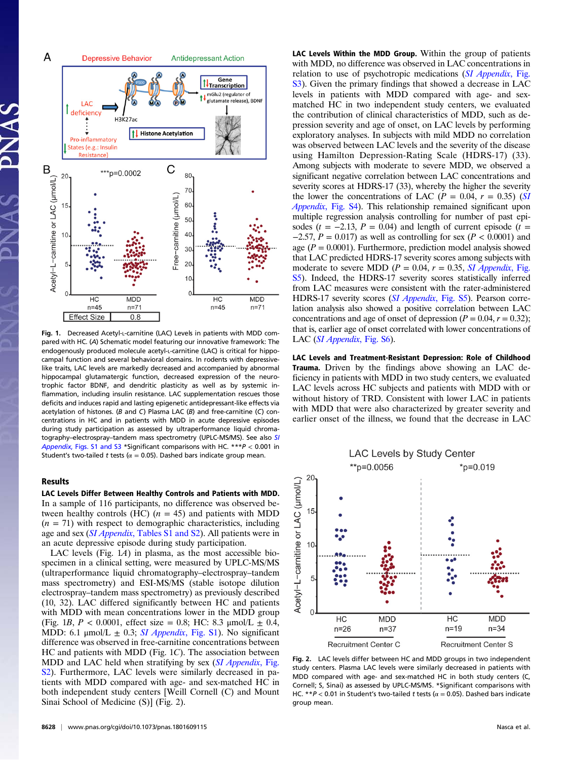

Fig. 1. Decreased Acetyl-L-carnitine (LAC) Levels in patients with MDD compared with HC. (A) Schematic model featuring our innovative framework: The endogenously produced molecule acetyl-L-carnitine (LAC) is critical for hippocampal function and several behavioral domains. In rodents with depressivelike traits, LAC levels are markedly decreased and accompanied by abnormal hippocampal glutamatergic function, decreased expression of the neurotrophic factor BDNF, and dendritic plasticity as well as by systemic inflammation, including insulin resistance. LAC supplementation rescues those deficits and induces rapid and lasting epigenetic antidepressant-like effects via acetylation of histones. (B and C) Plasma LAC (B) and free-carnitine (C) concentrations in HC and in patients with MDD in acute depressive episodes during study participation as assessed by ultraperformance liquid chromatography–electrospray–tandem mass spectrometry (UPLC-MS/MS). See also [SI](http://www.pnas.org/lookup/suppl/doi:10.1073/pnas.1801609115/-/DCSupplemental) Appendix[, Figs. S1 and S3](http://www.pnas.org/lookup/suppl/doi:10.1073/pnas.1801609115/-/DCSupplemental) \*Significant comparisons with HC. \*\*\* P < 0.001 in Student's two-tailed t tests ( $\alpha = 0.05$ ). Dashed bars indicate group mean.

## Results

LAC Levels Differ Between Healthy Controls and Patients with MDD. In a sample of 116 participants, no difference was observed between healthy controls (HC)  $(n = 45)$  and patients with MDD  $(n = 71)$  with respect to demographic characteristics, including age and sex (SI Appendix[, Tables S1 and S2](http://www.pnas.org/lookup/suppl/doi:10.1073/pnas.1801609115/-/DCSupplemental)). All patients were in an acute depressive episode during study participation.

LAC levels (Fig. 1A) in plasma, as the most accessible biospecimen in a clinical setting, were measured by UPLC-MS/MS (ultraperformance liquid chromatography–electrospray–tandem mass spectrometry) and ESI-MS/MS (stable isotope dilution electrospray–tandem mass spectrometry) as previously described (10, 32). LAC differed significantly between HC and patients with MDD with mean concentrations lower in the MDD group (Fig. 1B,  $P < 0.0001$ , effect size = 0.8; HC: 8.3  $\mu$ mol/L  $\pm$  0.4, MDD: 6.1  $\mu$ mol/L  $\pm$  0.3; *[SI Appendix](http://www.pnas.org/lookup/suppl/doi:10.1073/pnas.1801609115/-/DCSupplemental)*, Fig. S1). No significant difference was observed in free-carnitine concentrations between HC and patients with MDD (Fig. 1C). The association between MDD and LAC held when stratifying by sex ([SI Appendix](http://www.pnas.org/lookup/suppl/doi:10.1073/pnas.1801609115/-/DCSupplemental), Fig. [S2](http://www.pnas.org/lookup/suppl/doi:10.1073/pnas.1801609115/-/DCSupplemental)). Furthermore, LAC levels were similarly decreased in patients with MDD compared with age- and sex-matched HC in both independent study centers [Weill Cornell (C) and Mount Sinai School of Medicine (S)] (Fig. 2).

LAC Levels Within the MDD Group. Within the group of patients with MDD, no difference was observed in LAC concentrations in relation to use of psychotropic medications ([SI Appendix](http://www.pnas.org/lookup/suppl/doi:10.1073/pnas.1801609115/-/DCSupplemental), Fig. [S3\)](http://www.pnas.org/lookup/suppl/doi:10.1073/pnas.1801609115/-/DCSupplemental). Given the primary findings that showed a decrease in LAC levels in patients with MDD compared with age- and sexmatched HC in two independent study centers, we evaluated the contribution of clinical characteristics of MDD, such as depression severity and age of onset, on LAC levels by performing exploratory analyses. In subjects with mild MDD no correlation was observed between LAC levels and the severity of the disease using Hamilton Depression-Rating Scale (HDRS-17) (33). Among subjects with moderate to severe MDD, we observed a significant negative correlation between LAC concentrations and severity scores at HDRS-17 (33), whereby the higher the severity the lower the concentrations of LAC ( $P = 0.04$ ,  $r = 0.35$ ) ([SI](http://www.pnas.org/lookup/suppl/doi:10.1073/pnas.1801609115/-/DCSupplemental) Appendix[, Fig. S4\)](http://www.pnas.org/lookup/suppl/doi:10.1073/pnas.1801609115/-/DCSupplemental). This relationship remained significant upon multiple regression analysis controlling for number of past episodes ( $t = -2.13$ ,  $P = 0.04$ ) and length of current episode ( $t =$  $-2.57$ ,  $P = 0.017$ ) as well as controlling for sex ( $P < 0.0001$ ) and age ( $P = 0.0001$ ). Furthermore, prediction model analysis showed that LAC predicted HDRS-17 severity scores among subjects with moderate to severe MDD ( $P = 0.04$ ,  $r = 0.35$ , [SI Appendix](http://www.pnas.org/lookup/suppl/doi:10.1073/pnas.1801609115/-/DCSupplemental), Fig. [S5\)](http://www.pnas.org/lookup/suppl/doi:10.1073/pnas.1801609115/-/DCSupplemental). Indeed, the HDRS-17 severity scores statistically inferred from LAC measures were consistent with the rater-administered HDRS-17 severity scores ([SI Appendix](http://www.pnas.org/lookup/suppl/doi:10.1073/pnas.1801609115/-/DCSupplemental), Fig. S5). Pearson correlation analysis also showed a positive correlation between LAC concentrations and age of onset of depression  $(P = 0.04, r = 0.32)$ ; that is, earlier age of onset correlated with lower concentrations of LAC ([SI Appendix](http://www.pnas.org/lookup/suppl/doi:10.1073/pnas.1801609115/-/DCSupplemental), Fig. S6).

LAC Levels and Treatment-Resistant Depression: Role of Childhood Trauma. Driven by the findings above showing an LAC deficiency in patients with MDD in two study centers, we evaluated LAC levels across HC subjects and patients with MDD with or without history of TRD. Consistent with lower LAC in patients with MDD that were also characterized by greater severity and earlier onset of the illness, we found that the decrease in LAC



Fig. 2. LAC levels differ between HC and MDD groups in two independent study centers. Plasma LAC levels were similarly decreased in patients with MDD compared with age- and sex-matched HC in both study centers (C, Cornell; S, Sinai) as assessed by UPLC-MS/MS. \*Significant comparisons with HC. \*\*P < 0.01 in Student's two-tailed t tests ( $\alpha$  = 0.05). Dashed bars indicate group mean.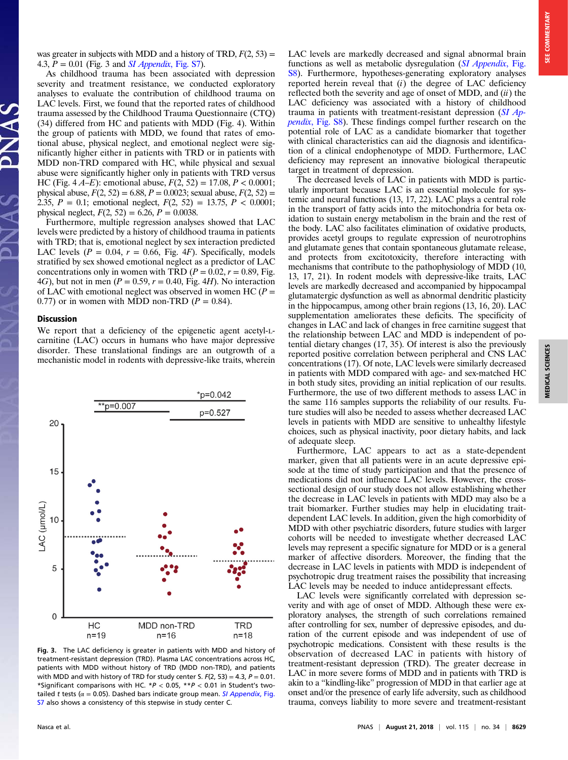As childhood trauma has been associated with depression severity and treatment resistance, we conducted exploratory analyses to evaluate the contribution of childhood trauma on LAC levels. First, we found that the reported rates of childhood trauma assessed by the Childhood Trauma Questionnaire (CTQ) (34) differed from HC and patients with MDD (Fig. 4). Within the group of patients with MDD, we found that rates of emotional abuse, physical neglect, and emotional neglect were significantly higher either in patients with TRD or in patients with MDD non-TRD compared with HC, while physical and sexual abuse were significantly higher only in patients with TRD versus HC (Fig.  $4A-E$ ): emotional abuse,  $F(2, 52) = 17.08$ ,  $P < 0.0001$ ; physical abuse,  $F(2, 52) = 6.88$ ,  $P = 0.0023$ ; sexual abuse,  $F(2, 52) =$ 2.35,  $P = 0.1$ ; emotional neglect,  $F(2, 52) = 13.75$ ,  $P < 0.0001$ ; physical neglect,  $F(2, 52) = 6.26$ ,  $P = 0.0038$ .

Furthermore, multiple regression analyses showed that LAC levels were predicted by a history of childhood trauma in patients with TRD; that is, emotional neglect by sex interaction predicted LAC levels ( $P = 0.04$ ,  $r = 0.66$ , Fig. 4F). Specifically, models stratified by sex showed emotional neglect as a predictor of LAC concentrations only in women with TRD ( $P = 0.02$ ,  $r = 0.89$ , Fig. 4G), but not in men ( $P = 0.59$ ,  $r = 0.40$ , Fig. 4H). No interaction of LAC with emotional neglect was observed in women HC ( $P =$ 0.77) or in women with MDD non-TRD  $(P = 0.84)$ .

### Discussion

We report that a deficiency of the epigenetic agent acetyl-Lcarnitine (LAC) occurs in humans who have major depressive disorder. These translational findings are an outgrowth of a mechanistic model in rodents with depressive-like traits, wherein



Fig. 3. The LAC deficiency is greater in patients with MDD and history of treatment-resistant depression (TRD). Plasma LAC concentrations across HC, patients with MDD without history of TRD (MDD non-TRD), and patients with MDD and with history of TRD for study center S.  $F(2, 53) = 4.3$ ,  $P = 0.01$ . \*Significant comparisons with HC.  $*P < 0.05$ ,  $*P < 0.01$  in Student's twotailed t tests ( $\alpha$  = 0.05). Dashed bars indicate group mean. [SI Appendix](http://www.pnas.org/lookup/suppl/doi:10.1073/pnas.1801609115/-/DCSupplemental), Fig. [S7](http://www.pnas.org/lookup/suppl/doi:10.1073/pnas.1801609115/-/DCSupplemental) also shows a consistency of this stepwise in study center C.

LAC levels are markedly decreased and signal abnormal brain functions as well as metabolic dysregulation ([SI Appendix](http://www.pnas.org/lookup/suppl/doi:10.1073/pnas.1801609115/-/DCSupplemental), Fig. [S8](http://www.pnas.org/lookup/suppl/doi:10.1073/pnas.1801609115/-/DCSupplemental)). Furthermore, hypotheses-generating exploratory analyses reported herein reveal that  $(i)$  the degree of LAC deficiency reflected both the severity and age of onset of MDD, and  $(ii)$  the LAC deficiency was associated with a history of childhood trauma in patients with treatment-resistant depression ([SI Ap](http://www.pnas.org/lookup/suppl/doi:10.1073/pnas.1801609115/-/DCSupplemental)pendix[, Fig. S8](http://www.pnas.org/lookup/suppl/doi:10.1073/pnas.1801609115/-/DCSupplemental)). These findings compel further research on the potential role of LAC as a candidate biomarker that together with clinical characteristics can aid the diagnosis and identification of a clinical endophenotype of MDD. Furthermore, LAC deficiency may represent an innovative biological therapeutic target in treatment of depression.

The decreased levels of LAC in patients with MDD is particularly important because LAC is an essential molecule for systemic and neural functions (13, 17, 22). LAC plays a central role in the transport of fatty acids into the mitochondria for beta oxidation to sustain energy metabolism in the brain and the rest of the body. LAC also facilitates elimination of oxidative products, provides acetyl groups to regulate expression of neurotrophins and glutamate genes that contain spontaneous glutamate release, and protects from excitotoxicity, therefore interacting with mechanisms that contribute to the pathophysiology of MDD (10, 13, 17, 21). In rodent models with depressive-like traits, LAC levels are markedly decreased and accompanied by hippocampal glutamatergic dysfunction as well as abnormal dendritic plasticity in the hippocampus, among other brain regions (13, 16, 20). LAC supplementation ameliorates these deficits. The specificity of changes in LAC and lack of changes in free carnitine suggest that the relationship between LAC and MDD is independent of potential dietary changes (17, 35). Of interest is also the previously reported positive correlation between peripheral and CNS LAC concentrations (17). Of note, LAC levels were similarly decreased in patients with MDD compared with age- and sex-matched HC in both study sites, providing an initial replication of our results. Furthermore, the use of two different methods to assess LAC in the same 116 samples supports the reliability of our results. Future studies will also be needed to assess whether decreased LAC levels in patients with MDD are sensitive to unhealthy lifestyle choices, such as physical inactivity, poor dietary habits, and lack of adequate sleep.

Furthermore, LAC appears to act as a state-dependent marker, given that all patients were in an acute depressive episode at the time of study participation and that the presence of medications did not influence LAC levels. However, the crosssectional design of our study does not allow establishing whether the decrease in LAC levels in patients with MDD may also be a trait biomarker. Further studies may help in elucidating traitdependent LAC levels. In addition, given the high comorbidity of MDD with other psychiatric disorders, future studies with larger cohorts will be needed to investigate whether decreased LAC levels may represent a specific signature for MDD or is a general marker of affective disorders. Moreover, the finding that the decrease in LAC levels in patients with MDD is independent of psychotropic drug treatment raises the possibility that increasing LAC levels may be needed to induce antidepressant effects.

LAC levels were significantly correlated with depression severity and with age of onset of MDD. Although these were exploratory analyses, the strength of such correlations remained after controlling for sex, number of depressive episodes, and duration of the current episode and was independent of use of psychotropic medications. Consistent with these results is the observation of decreased LAC in patients with history of treatment-resistant depression (TRD). The greater decrease in LAC in more severe forms of MDD and in patients with TRD is akin to a "kindling-like" progression of MDD in that earlier age at onset and/or the presence of early life adversity, such as childhood trauma, conveys liability to more severe and treatment-resistant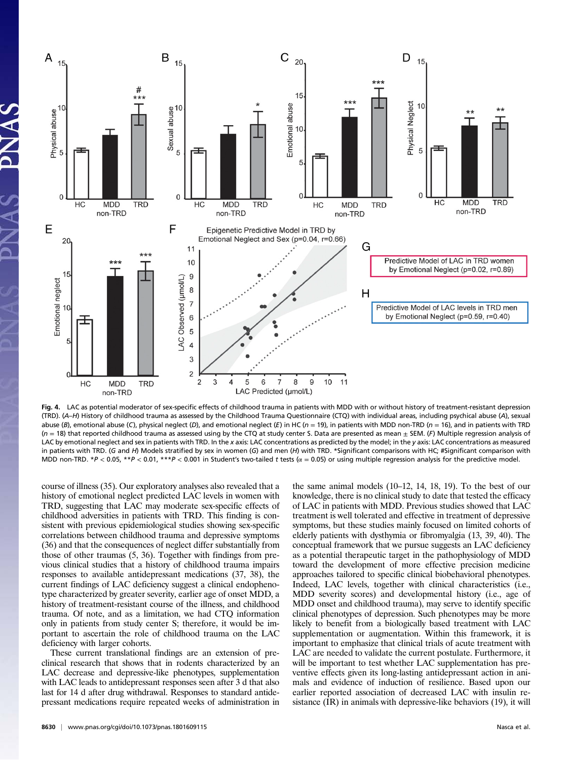

Fig. 4. LAC as potential moderator of sex-specific effects of childhood trauma in patients with MDD with or without history of treatment-resistant depression (TRD). (A–H) History of childhood trauma as assessed by the Childhood Trauma Questionnaire (CTQ) with individual areas, including psychical abuse (A), sexual abuse (B), emotional abuse (C), physical neglect (D), and emotional neglect (E) in HC ( $n = 19$ ), in patients with MDD non-TRD ( $n = 16$ ), and in patients with TRD  $(n = 18)$  that reported childhood trauma as assessed using by the CTQ at study center S. Data are presented as mean  $\pm$  SEM. (F) Multiple regression analysis of LAC by emotional neglect and sex in patients with TRD. In the x axis: LAC concentrations as predicted by the model; in the y axis: LAC concentrations as measured in patients with TRD. (G and H) Models stratified by sex in women (G) and men (H) with TRD. \*Significant comparisons with HC; #Significant comparison with MDD non-TRD. \*P < 0.05, \*\*P < 0.01, \*\*\*P < 0.001 in Student's two-tailed t tests ( $\alpha$  = 0.05) or using multiple regression analysis for the predictive model.

course of illness (35). Our exploratory analyses also revealed that a history of emotional neglect predicted LAC levels in women with TRD, suggesting that LAC may moderate sex-specific effects of childhood adversities in patients with TRD. This finding is consistent with previous epidemiological studies showing sex-specific correlations between childhood trauma and depressive symptoms (36) and that the consequences of neglect differ substantially from those of other traumas (5, 36). Together with findings from previous clinical studies that a history of childhood trauma impairs responses to available antidepressant medications (37, 38), the current findings of LAC deficiency suggest a clinical endophenotype characterized by greater severity, earlier age of onset MDD, a history of treatment-resistant course of the illness, and childhood trauma. Of note, and as a limitation, we had CTQ information only in patients from study center S; therefore, it would be important to ascertain the role of childhood trauma on the LAC deficiency with larger cohorts.

These current translational findings are an extension of preclinical research that shows that in rodents characterized by an LAC decrease and depressive-like phenotypes, supplementation with LAC leads to antidepressant responses seen after 3 d that also last for 14 d after drug withdrawal. Responses to standard antidepressant medications require repeated weeks of administration in

8630 <sup>|</sup> <www.pnas.org/cgi/doi/10.1073/pnas.1801609115> Nasca et al.

the same animal models (10–12, 14, 18, 19). To the best of our knowledge, there is no clinical study to date that tested the efficacy of LAC in patients with MDD. Previous studies showed that LAC treatment is well tolerated and effective in treatment of depressive symptoms, but these studies mainly focused on limited cohorts of elderly patients with dysthymia or fibromyalgia (13, 39, 40). The conceptual framework that we pursue suggests an LAC deficiency as a potential therapeutic target in the pathophysiology of MDD toward the development of more effective precision medicine approaches tailored to specific clinical biobehavioral phenotypes. Indeed, LAC levels, together with clinical characteristics (i.e., MDD severity scores) and developmental history (i.e., age of MDD onset and childhood trauma), may serve to identify specific clinical phenotypes of depression. Such phenotypes may be more likely to benefit from a biologically based treatment with LAC supplementation or augmentation. Within this framework, it is important to emphasize that clinical trials of acute treatment with LAC are needed to validate the current postulate. Furthermore, it will be important to test whether LAC supplementation has preventive effects given its long-lasting antidepressant action in animals and evidence of induction of resilience. Based upon our earlier reported association of decreased LAC with insulin resistance (IR) in animals with depressive-like behaviors (19), it will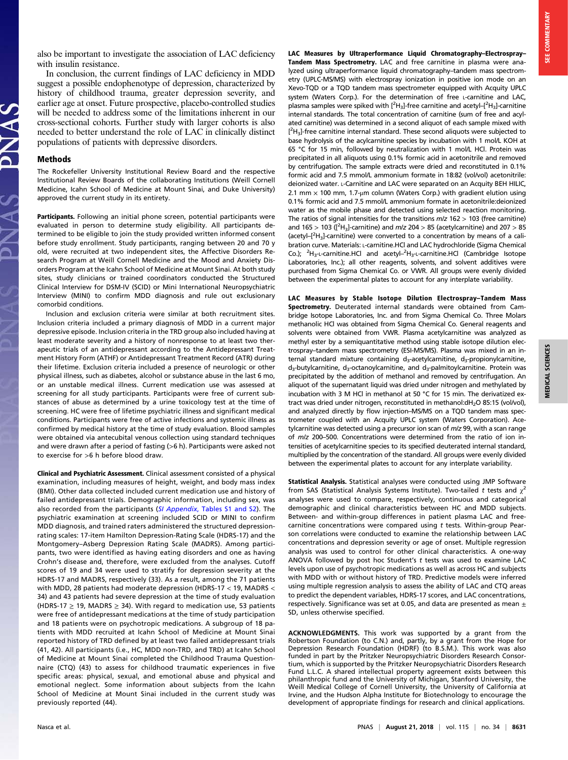**MEDICAL SCIENCES** 

also be important to investigate the association of LAC deficiency with insulin resistance.

In conclusion, the current findings of LAC deficiency in MDD suggest a possible endophenotype of depression, characterized by history of childhood trauma, greater depression severity, and earlier age at onset. Future prospective, placebo-controlled studies will be needed to address some of the limitations inherent in our cross-sectional cohorts. Further study with larger cohorts is also needed to better understand the role of LAC in clinically distinct populations of patients with depressive disorders.

#### Methods

The Rockefeller University Institutional Review Board and the respective Institutional Review Boards of the collaborating Institutions (Weill Cornell Medicine, Icahn School of Medicine at Mount Sinai, and Duke University) approved the current study in its entirety.

Participants. Following an initial phone screen, potential participants were evaluated in person to determine study eligibility. All participants determined to be eligible to join the study provided written informed consent before study enrollment. Study participants, ranging between 20 and 70 y old, were recruited at two independent sites, the Affective Disorders Research Program at Weill Cornell Medicine and the Mood and Anxiety Disorders Program at the Icahn School of Medicine at Mount Sinai. At both study sites, study clinicians or trained coordinators conducted the Structured Clinical Interview for DSM-IV (SCID) or Mini International Neuropsychiatric Interview (MINI) to confirm MDD diagnosis and rule out exclusionary comorbid conditions.

Inclusion and exclusion criteria were similar at both recruitment sites. Inclusion criteria included a primary diagnosis of MDD in a current major depressive episode. Inclusion criteria in the TRD group also included having at least moderate severity and a history of nonresponse to at least two therapeutic trials of an antidepressant according to the Antidepressant Treatment History Form (ATHF) or Antidepressant Treatment Record (ATR) during their lifetime. Exclusion criteria included a presence of neurologic or other physical illness, such as diabetes, alcohol or substance abuse in the last 6 mo, or an unstable medical illness. Current medication use was assessed at screening for all study participants. Participants were free of current substances of abuse as determined by a urine toxicology test at the time of screening. HC were free of lifetime psychiatric illness and significant medical conditions. Participants were free of active infections and systemic illness as confirmed by medical history at the time of study evaluation. Blood samples were obtained via antecubital venous collection using standard techniques and were drawn after a period of fasting (>6 h). Participants were asked not to exercise for >6 h before blood draw.

Clinical and Psychiatric Assessment. Clinical assessment consisted of a physical examination, including measures of height, weight, and body mass index (BMI). Other data collected included current medication use and history of failed antidepressant trials. Demographic information, including sex, was also recorded from the participants (SI Appendix[, Tables S1 and S2](http://www.pnas.org/lookup/suppl/doi:10.1073/pnas.1801609115/-/DCSupplemental)). The psychiatric examination at screening included SCID or MINI to confirm MDD diagnosis, and trained raters administered the structured depressionrating scales: 17-item Hamilton Depression-Rating Scale (HDRS-17) and the Montgomery–Asberg Depression Rating Scale (MADRS). Among participants, two were identified as having eating disorders and one as having Crohn's disease and, therefore, were excluded from the analyses. Cutoff scores of 19 and 34 were used to stratify for depression severity at the HDRS-17 and MADRS, respectively (33). As a result, among the 71 patients with MDD, 28 patients had moderate depression (HDRS-17 < 19, MADRS < 34) and 43 patients had severe depression at the time of study evaluation (HDRS-17  $\geq$  19, MADRS  $\geq$  34). With regard to medication use, 53 patients were free of antidepressant medications at the time of study participation and 18 patients were on psychotropic medications. A subgroup of 18 patients with MDD recruited at Icahn School of Medicine at Mount Sinai reported history of TRD defined by at least two failed antidepressant trials (41, 42). All participants (i.e., HC, MDD non-TRD, and TRD) at Icahn School of Medicine at Mount Sinai completed the Childhood Trauma Questionnaire (CTQ) (43) to assess for childhood traumatic experiences in five specific areas: physical, sexual, and emotional abuse and physical and emotional neglect. Some information about subjects from the Icahn School of Medicine at Mount Sinai included in the current study was previously reported (44).

LAC Measures by Ultraperformance Liquid Chromatography–Electrospray– Tandem Mass Spectrometry. LAC and free carnitine in plasma were analyzed using ultraperformance liquid chromatography–tandem mass spectrometry (UPLC-MS/MS) with electrospray ionization in positive ion mode on an Xevo-TQD or a TQD tandem mass spectrometer equipped with Acquity UPLC system (Waters Corp.). For the determination of free L-carnitine and LAC, plasma samples were spiked with  $[^{2}H_{3}]$ -free carnitine and acetyl- $[^{2}H_{3}]$ -carnitine internal standards. The total concentration of carnitine (sum of free and acylated carnitine) was determined in a second aliquot of each sample mixed with [<sup>2</sup>H<sub>3</sub>]-free carnitine internal standard. These second aliquots were subjected to base hydrolysis of the acylcarnitine species by incubation with 1 mol/L KOH at 65 °C for 15 min, followed by neutralization with 1 mol/L HCl. Protein was precipitated in all aliquots using 0.1% formic acid in acetonitrile and removed by centrifugation. The sample extracts were dried and reconstituted in 0.1% formic acid and 7.5 mmol/L ammonium formate in 18:82 (vol/vol) acetonitrile: deionized water. L-Carnitine and LAC were separated on an Acquity BEH HILIC, 2.1 mm  $\times$  100 mm, 1.7-µm column (Waters Corp.) with gradient elution using 0.1% formic acid and 7.5 mmol/L ammonium formate in acetonitrile:deionized water as the mobile phase and detected using selected reaction monitoring. The ratios of signal intensities for the transitions  $m/z$  162 > 103 (free carnitine) and 165  $>$  103 ([<sup>2</sup>H<sub>3</sub>]-carnitine) and *m/z* 204  $>$  85 (acetylcarnitine) and 207  $>$  85 (acetyl-[<sup>2</sup>H<sub>3</sub>]-carnitine) were converted to a concentration by means of a calibration curve. Materials: L-carnitine.HCl and LAC hydrochloride (Sigma Chemical Co.);  ${}^{2}H_{3}$ -L-carnitine.HCl and acetyl- ${}^{2}H_{3}$ -L-carnitine.HCl (Cambridge Isotope Laboratories, Inc.); all other reagents, solvents, and solvent additives were purchased from Sigma Chemical Co. or VWR. All groups were evenly divided between the experimental plates to account for any interplate variability.

LAC Measures by Stable Isotope Dilution Electrospray–Tandem Mass Spectrometry. Deuterated internal standards were obtained from Cambridge Isotope Laboratories, Inc. and from Sigma Chemical Co. Three Molars methanolic HCl was obtained from Sigma Chemical Co. General reagents and solvents were obtained from VWR. Plasma acetylcarnitine was analyzed as methyl ester by a semiquantitative method using stable isotope dilution electrospray–tandem mass spectrometry (ESI-MS/MS). Plasma was mixed in an internal standard mixture containing  $d_3$ -acetylcarnitine,  $d_3$ -propionylcarnitine,  $d_3$ -butylcarnitine,  $d_3$ -octanoylcarnitine, and  $d_3$ -palmitoylcarnitine. Protein was precipitated by the addition of methanol and removed by centrifugation. An aliquot of the supernatant liquid was dried under nitrogen and methylated by incubation with 3 M HCl in methanol at 50 °C for 15 min. The derivatized extract was dried under nitrogen, reconstituted in methanol:dH<sub>2</sub>O 85:15 (vol/vol), and analyzed directly by flow injection–MS/MS on a TQD tandem mass spectrometer coupled with an Acquity UPLC system (Waters Corporation). Acetylcarnitine was detected using a precursor ion scan of m/z 99, with a scan range of m/z 200–500. Concentrations were determined from the ratio of ion intensities of acetylcarnitine species to its specified deuterated internal standard, multiplied by the concentration of the standard. All groups were evenly divided between the experimental plates to account for any interplate variability.

Statistical Analysis. Statistical analyses were conducted using JMP Software from SAS (Statistical Analysis Systems Institute). Two-tailed t tests and  $\chi^2$ analyses were used to compare, respectively, continuous and categorical demographic and clinical characteristics between HC and MDD subjects. Between- and within-group differences in patient plasma LAC and freecarnitine concentrations were compared using  $t$  tests. Within-group Pearson correlations were conducted to examine the relationship between LAC concentrations and depression severity or age of onset. Multiple regression analysis was used to control for other clinical characteristics. A one-way ANOVA followed by post hoc Student's t tests was used to examine LAC levels upon use of psychotropic medications as well as across HC and subjects with MDD with or without history of TRD. Predictive models were inferred using multiple regression analysis to assess the ability of LAC and CTQ areas to predict the dependent variables, HDRS-17 scores, and LAC concentrations, respectively. Significance was set at 0.05, and data are presented as mean  $\pm$ SD, unless otherwise specified.

ACKNOWLEDGMENTS. This work was supported by a grant from the Robertson Foundation (to C.N.) and, partly, by a grant from the Hope for Depression Research Foundation (HDRF) (to B.S.M.). This work was also funded in part by the Pritzker Neuropsychiatric Disorders Research Consortium, which is supported by the Pritzker Neuropsychiatric Disorders Research Fund L.L.C. A shared intellectual property agreement exists between this philanthropic fund and the University of Michigan, Stanford University, the Weill Medical College of Cornell University, the University of California at Irvine, and the Hudson Alpha Institute for Biotechnology to encourage the development of appropriate findings for research and clinical applications.